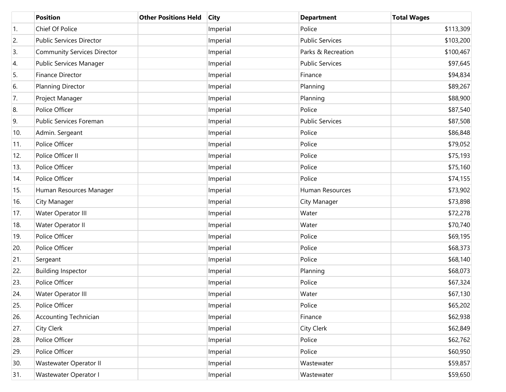|     | <b>Position</b>                    | <b>Other Positions Held</b> | <b>City</b> | <b>Department</b>      | <b>Total Wages</b> |
|-----|------------------------------------|-----------------------------|-------------|------------------------|--------------------|
| 1.  | Chief Of Police                    |                             | Imperial    | Police                 | \$113,309          |
| 2.  | Public Services Director           |                             | Imperial    | <b>Public Services</b> | \$103,200          |
| 3.  | <b>Community Services Director</b> |                             | Imperial    | Parks & Recreation     | \$100,467          |
| 4.  | Public Services Manager            |                             | Imperial    | <b>Public Services</b> | \$97,645           |
| 5.  | Finance Director                   |                             | Imperial    | Finance                | \$94,834           |
| 6.  | <b>Planning Director</b>           |                             | Imperial    | Planning               | \$89,267           |
| 7.  | Project Manager                    |                             | Imperial    | Planning               | \$88,900           |
| 8.  | Police Officer                     |                             | Imperial    | Police                 | \$87,540           |
| 9.  | Public Services Foreman            |                             | Imperial    | <b>Public Services</b> | \$87,508           |
| 10. | Admin. Sergeant                    |                             | Imperial    | Police                 | \$86,848           |
| 11. | Police Officer                     |                             | Imperial    | Police                 | \$79,052           |
| 12. | Police Officer II                  |                             | Imperial    | Police                 | \$75,193           |
| 13. | Police Officer                     |                             | Imperial    | Police                 | \$75,160           |
| 14. | Police Officer                     |                             | Imperial    | Police                 | \$74,155           |
| 15. | Human Resources Manager            |                             | Imperial    | Human Resources        | \$73,902           |
| 16. | City Manager                       |                             | Imperial    | City Manager           | \$73,898           |
| 17. | Water Operator III                 |                             | Imperial    | Water                  | \$72,278           |
| 18. | Water Operator II                  |                             | Imperial    | Water                  | \$70,740           |
| 19. | Police Officer                     |                             | Imperial    | Police                 | \$69,195           |
| 20. | Police Officer                     |                             | Imperial    | Police                 | \$68,373           |
| 21. | Sergeant                           |                             | Imperial    | Police                 | \$68,140           |
| 22. | <b>Building Inspector</b>          |                             | Imperial    | Planning               | \$68,073           |
| 23. | Police Officer                     |                             | Imperial    | Police                 | \$67,324           |
| 24. | Water Operator III                 |                             | Imperial    | Water                  | \$67,130           |
| 25. | Police Officer                     |                             | Imperial    | Police                 | \$65,202           |
| 26. | <b>Accounting Technician</b>       |                             | Imperial    | Finance                | \$62,938           |
| 27. | City Clerk                         |                             | Imperial    | <b>City Clerk</b>      | \$62,849           |
| 28. | Police Officer                     |                             | Imperial    | Police                 | \$62,762           |
| 29. | Police Officer                     |                             | Imperial    | Police                 | \$60,950           |
| 30. | Wastewater Operator II             |                             | Imperial    | Wastewater             | \$59,857           |
| 31. | Wastewater Operator I              |                             | Imperial    | Wastewater             | \$59,650           |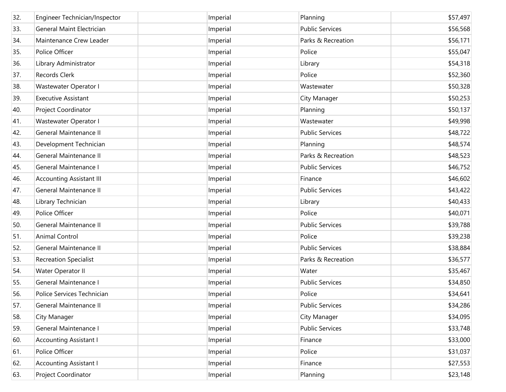| 32. | Engineer Technician/Inspector    | Imperial | Planning               | \$57,497 |
|-----|----------------------------------|----------|------------------------|----------|
| 33. | <b>General Maint Electrician</b> | Imperial | <b>Public Services</b> | \$56,568 |
| 34. | Maintenance Crew Leader          | Imperial | Parks & Recreation     | \$56,171 |
| 35. | Police Officer                   | Imperial | Police                 | \$55,047 |
| 36. | Library Administrator            | Imperial | Library                | \$54,318 |
| 37. | Records Clerk                    | Imperial | Police                 | \$52,360 |
| 38. | Wastewater Operator I            | Imperial | Wastewater             | \$50,328 |
| 39. | <b>Executive Assistant</b>       | Imperial | City Manager           | \$50,253 |
| 40. | Project Coordinator              | Imperial | Planning               | \$50,137 |
| 41. | Wastewater Operator I            | Imperial | Wastewater             | \$49,998 |
| 42. | General Maintenance II           | Imperial | <b>Public Services</b> | \$48,722 |
| 43. | Development Technician           | Imperial | Planning               | \$48,574 |
| 44. | General Maintenance II           | Imperial | Parks & Recreation     | \$48,523 |
| 45. | General Maintenance I            | Imperial | <b>Public Services</b> | \$46,752 |
| 46. | Accounting Assistant III         | Imperial | Finance                | \$46,602 |
| 47. | General Maintenance II           | Imperial | <b>Public Services</b> | \$43,422 |
| 48. | Library Technician               | Imperial | Library                | \$40,433 |
| 49. | Police Officer                   | Imperial | Police                 | \$40,071 |
| 50. | General Maintenance II           | Imperial | <b>Public Services</b> | \$39,788 |
| 51. | Animal Control                   | Imperial | Police                 | \$39,238 |
| 52. | General Maintenance II           | Imperial | <b>Public Services</b> | \$38,884 |
| 53. | <b>Recreation Specialist</b>     | Imperial | Parks & Recreation     | \$36,577 |
| 54. | Water Operator II                | Imperial | Water                  | \$35,467 |
| 55. | General Maintenance I            | Imperial | <b>Public Services</b> | \$34,850 |
| 56. | Police Services Technician       | Imperial | Police                 | \$34,641 |
| 57. | General Maintenance II           | Imperial | <b>Public Services</b> | \$34,286 |
| 58. | City Manager                     | Imperial | City Manager           | \$34,095 |
| 59. | General Maintenance I            | Imperial | <b>Public Services</b> | \$33,748 |
| 60. | <b>Accounting Assistant I</b>    | Imperial | Finance                | \$33,000 |
| 61. | Police Officer                   | Imperial | Police                 | \$31,037 |
| 62. | <b>Accounting Assistant I</b>    | Imperial | Finance                | \$27,553 |
| 63. | Project Coordinator              | Imperial | Planning               | \$23,148 |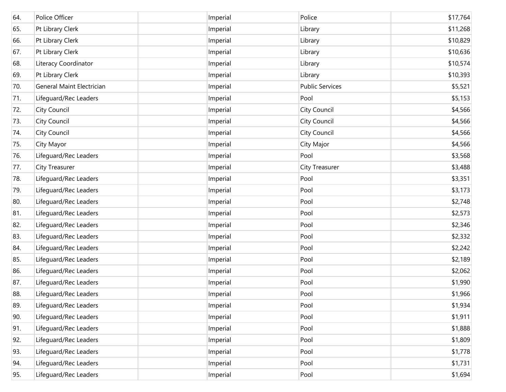| 64. | Police Officer            | Imperial | Police                 | \$17,764 |
|-----|---------------------------|----------|------------------------|----------|
| 65. | Pt Library Clerk          | Imperial | Library                | \$11,268 |
| 66. | Pt Library Clerk          | Imperial | Library                | \$10,829 |
| 67. | Pt Library Clerk          | Imperial | Library                | \$10,636 |
| 68. | Literacy Coordinator      | Imperial | Library                | \$10,574 |
| 69. | Pt Library Clerk          | Imperial | Library                | \$10,393 |
| 70. | General Maint Electrician | Imperial | <b>Public Services</b> | \$5,521  |
| 71. | Lifeguard/Rec Leaders     | Imperial | Pool                   | \$5,153  |
| 72. | <b>City Council</b>       | Imperial | City Council           | \$4,566  |
| 73. | <b>City Council</b>       | Imperial | City Council           | \$4,566  |
| 74. | <b>City Council</b>       | Imperial | City Council           | \$4,566  |
| 75. | City Mayor                | Imperial | City Major             | \$4,566  |
| 76. | Lifeguard/Rec Leaders     | Imperial | Pool                   | \$3,568  |
| 77. | City Treasurer            | Imperial | City Treasurer         | \$3,488  |
| 78. | Lifeguard/Rec Leaders     | Imperial | Pool                   | \$3,351  |
| 79. | Lifeguard/Rec Leaders     | Imperial | Pool                   | \$3,173  |
| 80. | Lifeguard/Rec Leaders     | Imperial | Pool                   | \$2,748  |
| 81. | Lifeguard/Rec Leaders     | Imperial | Pool                   | \$2,573  |
| 82. | Lifeguard/Rec Leaders     | Imperial | Pool                   | \$2,346  |
| 83. | Lifeguard/Rec Leaders     | Imperial | Pool                   | \$2,332  |
| 84. | Lifeguard/Rec Leaders     | Imperial | Pool                   | \$2,242  |
| 85. | Lifeguard/Rec Leaders     | Imperial | Pool                   | \$2,189  |
| 86. | Lifeguard/Rec Leaders     | Imperial | Pool                   | \$2,062  |
| 87. | Lifeguard/Rec Leaders     | Imperial | Pool                   | \$1,990  |
| 88. | Lifeguard/Rec Leaders     | Imperial | Pool                   | \$1,966  |
| 89. | Lifeguard/Rec Leaders     | Imperial | Pool                   | \$1,934  |
| 90. | Lifeguard/Rec Leaders     | Imperial | Pool                   | \$1,911  |
| 91. | Lifeguard/Rec Leaders     | Imperial | Pool                   | \$1,888  |
| 92. | Lifeguard/Rec Leaders     | Imperial | Pool                   | \$1,809  |
| 93. | Lifeguard/Rec Leaders     | Imperial | Pool                   | \$1,778  |
| 94. | Lifeguard/Rec Leaders     | Imperial | Pool                   | \$1,731  |
| 95. | Lifeguard/Rec Leaders     | Imperial | Pool                   | \$1,694  |